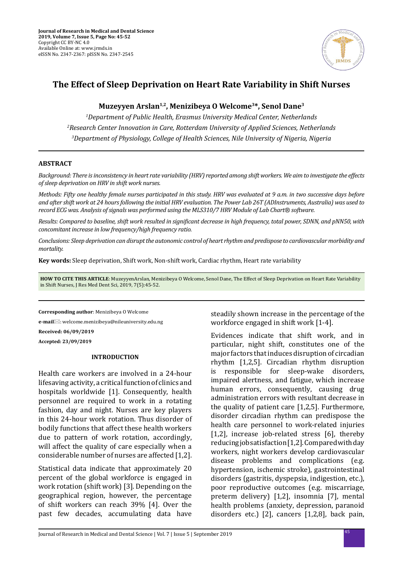

# **The Effect of Sleep Deprivation on Heart Rate Variability in Shift Nurses**

# **Muzeyyen Arslan1,2, Menizibeya O Welcome3\*, Senol Dane3**

*1 Department of Public Health, Erasmus University Medical Center, Netherlands 2 Research Center Innovation in Care, Rotterdam University of Applied Sciences, Netherlands 3 Department of Physiology, College of Health Sciences, Nile University of Nigeria, Nigeria* 

## **ABSTRACT**

*Background: There is inconsistency in heart rate variability (HRV) reported among shift workers. We aim to investigate the effects of sleep deprivation on HRV in shift work nurses.* 

*Methods: Fifty one healthy female nurses participated in this study. HRV was evaluated at 9 a.m. in two successive days before and after shift work at 24 hours following the initial HRV evaluation. The Power Lab 26T (ADInstruments, Australia) was used to record ECG was. Analysis of signals was performed using the MLS310/7 HRV Module of Lab Chart® software.* 

*Results: Compared to baseline, shift work resulted in significant decrease in high frequency, total power, SDNN, and pNN50, with concomitant increase in low frequency/high frequency ratio.* 

*Conclusions: Sleep deprivation can disrupt the autonomic control of heart rhythm and predispose to cardiovascular morbidity and mortality.*

**Key words:** Sleep deprivation, Shift work, Non-shift work, Cardiac rhythm, Heart rate variability

**HOW TO CITE THIS ARTICLE**: MuzeyyenArslan, Menizibeya O Welcome, Senol Dane, The Effect of Sleep Deprivation on Heart Rate Variability in Shift Nurses, J Res Med Dent Sci, 2019, 7(5):45-52.

**Corresponding author**: Menizibeya O Welcome

**e-mail**: welcome.menizibeya@nileuniversity.edu.ng **Received: 06/09/2019**

**Accepted: 23/09/2019**

#### **INTRODUCTION**

Health care workers are involved in a 24-hour lifesaving activity, a critical function of clinics and hospitals worldwide [1]. Consequently, health personnel are required to work in a rotating fashion, day and night. Nurses are key players in this 24-hour work rotation. Thus disorder of bodily functions that affect these health workers due to pattern of work rotation, accordingly, will affect the quality of care especially when a considerable number of nurses are affected [1,2].

Statistical data indicate that approximately 20 percent of the global workforce is engaged in work rotation (shift work) [3]. Depending on the geographical region, however, the percentage of shift workers can reach 39% [4]. Over the past few decades, accumulating data have steadily shown increase in the percentage of the workforce engaged in shift work [1-4].

Evidences indicate that shift work, and in particular, night shift, constitutes one of the major factors that induces disruption of circadian rhythm [1,2,5]. Circadian rhythm disruption is responsible for sleep-wake disorders, impaired alertness, and fatigue, which increase human errors, consequently, causing drug administration errors with resultant decrease in the quality of patient care [1,2,5]. Furthermore, disorder circadian rhythm can predispose the health care personnel to work-related injuries [1,2], increase job-related stress [6], thereby reducing job satisfaction [1,2]. Compared with day workers, night workers develop cardiovascular disease problems and complications (e.g. hypertension, ischemic stroke), gastrointestinal disorders (gastritis, dyspepsia, indigestion, etc.), poor reproductive outcomes (e.g. miscarriage, preterm delivery) [1,2], insomnia [7], mental health problems (anxiety, depression, paranoid disorders etc.) [2], cancers [1,2,8], back pain,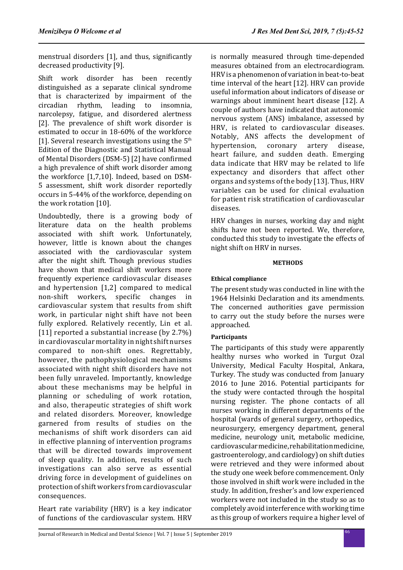menstrual disorders [1], and thus, significantly decreased productivity [9].

Shift work disorder has been recently distinguished as a separate clinical syndrome that is characterized by impairment of the circadian rhythm, leading to insomnia,  $circ$ adian rhythm, leading to narcolepsy, fatigue, and disordered alertness [2]. The prevalence of shift work disorder is estimated to occur in 18-60% of the workforce [1]. Several research investigations using the  $5<sup>th</sup>$ Edition of the Diagnostic and Statistical Manual of Mental Disorders (DSM-5) [2] have confirmed a high prevalence of shift work disorder among the workforce [1,7,10]. Indeed, based on DSM-5 assessment, shift work disorder reportedly occurs in 5-44% of the workforce, depending on the work rotation [10].

Undoubtedly, there is a growing body of literature data on the health problems associated with shift work. Unfortunately, however, little is known about the changes associated with the cardiovascular system after the night shift. Though previous studies have shown that medical shift workers more frequently experience cardiovascular diseases and hypertension [1,2] compared to medical non-shift workers, specific changes in cardiovascular system that results from shift work, in particular night shift have not been fully explored. Relatively recently, Lin et al. [11] reported a substantial increase (by 2.7%) in cardiovascular mortality in night shift nurses compared to non-shift ones. Regrettably, however, the pathophysiological mechanisms associated with night shift disorders have not been fully unraveled. Importantly, knowledge about these mechanisms may be helpful in planning or scheduling of work rotation, and also, therapeutic strategies of shift work and related disorders. Moreover, knowledge garnered from results of studies on the mechanisms of shift work disorders can aid in effective planning of intervention programs that will be directed towards improvement of sleep quality. In addition, results of such investigations can also serve as essential driving force in development of guidelines on protection of shift workers from cardiovascular consequences.

Heart rate variability (HRV) is a key indicator of functions of the cardiovascular system. HRV is normally measured through time-depended measures obtained from an electrocardiogram. HRV is a phenomenon of variation in beat-to-beat time interval of the heart [12]. HRV can provide useful information about indicators of disease or warnings about imminent heart disease [12]. A couple of authors have indicated that autonomic nervous system (ANS) imbalance, assessed by HRV, is related to cardiovascular diseases. Notably, ANS affects the development of<br>hypertension, coronary artery disease, hypertension. heart failure, and sudden death. Emerging data indicate that HRV may be related to life expectancy and disorders that affect other organs and systems of the body [13]. Thus, HRV variables can be used for clinical evaluation for patient risk stratification of cardiovascular diseases.

HRV changes in nurses, working day and night shifts have not been reported. We, therefore, conducted this study to investigate the effects of night shift on HRV in nurses.

## **METHODS**

# **Ethical compliance**

The present study was conducted in line with the 1964 Helsinki Declaration and its amendments. The concerned authorities gave permission to carry out the study before the nurses were approached.

## **Participants**

The participants of this study were apparently healthy nurses who worked in Turgut Ozal University, Medical Faculty Hospital, Ankara, Turkey. The study was conducted from January 2016 to June 2016. Potential participants for the study were contacted through the hospital nursing register. The phone contacts of all nurses working in different departments of the hospital (wards of general surgery, orthopedics, neurosurgery, emergency department, general medicine, neurology unit, metabolic medicine, cardiovascular medicine, rehabilitation medicine, gastroenterology, and cardiology) on shift duties were retrieved and they were informed about the study one week before commencement. Only those involved in shift work were included in the study. In addition, fresher's and low experienced workers were not included in the study so as to completely avoid interference with working time as this group of workers require a higher level of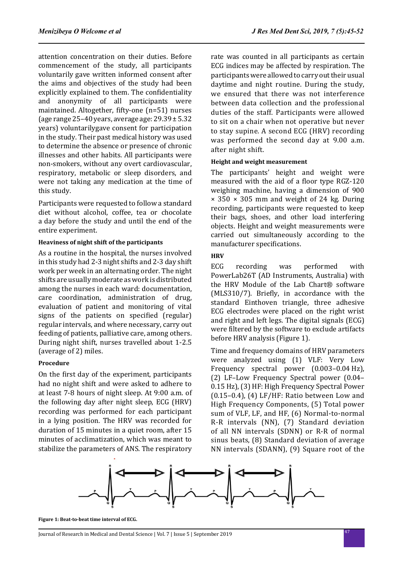attention concentration on their duties. Before commencement of the study, all participants voluntarily gave written informed consent after the aims and objectives of the study had been explicitly explained to them. The confidentiality and anonymity of all participants were maintained. Altogether, fifty-one (n=51) nurses (age range  $25-40$  years, average age:  $29.39 \pm 5.32$ years) voluntarilygave consent for participation in the study. Their past medical history was used to determine the absence or presence of chronic illnesses and other habits. All participants were non-smokers, without any overt cardiovascular, respiratory, metabolic or sleep disorders, and were not taking any medication at the time of this study.

Participants were requested to follow a standard diet without alcohol, coffee, tea or chocolate a day before the study and until the end of the entire experiment.

### **Heaviness of night shift of the participants**

As a routine in the hospital, the nurses involved in this study had 2-3 night shifts and 2-3 day shift work per week in an alternating order. The night shifts are usually moderate as work is distributed among the nurses in each ward: documentation, care coordination, administration of drug, evaluation of patient and monitoring of vital signs of the patients on specified (regular) regular intervals, and where necessary, carry out feeding of patients, palliative care, among others. During night shift, nurses travelled about 1-2.5 (average of 2) miles.

### **Procedure**

On the first day of the experiment, participants had no night shift and were asked to adhere to at least 7-8 hours of night sleep. At 9:00 a.m. of the following day after night sleep, ECG (HRV) recording was performed for each participant in a lying position. The HRV was recorded for duration of 15 minutes in a quiet room, after 15 minutes of acclimatization, which was meant to stabilize the parameters of ANS. The respiratory rate was counted in all participants as certain ECG indices may be affected by respiration. The participants were allowed to carry out their usual daytime and night routine. During the study, we ensured that there was not interference between data collection and the professional duties of the staff. Participants were allowed to sit on a chair when not operative but never to stay supine. A second ECG (HRV) recording was performed the second day at 9.00 a.m. after night shift.

## **Height and weight measurement**

The participants' height and weight were measured with the aid of a floor type RGZ-120 weighing machine, having a dimension of 900  $\times$  350  $\times$  305 mm and weight of 24 kg. During recording, participants were requested to keep their bags, shoes, and other load interfering objects. Height and weight measurements were carried out simultaneously according to the manufacturer specifications.

## **HRV**

ECG recording was performed with PowerLab26T (AD Instruments, Australia) with the HRV Module of the Lab Chart® software (MLS310/7). Briefly, in accordance with the standard Einthoven triangle, three adhesive ECG electrodes were placed on the right wrist and right and left legs. The digital signals (ECG) were filtered by the software to exclude artifacts before HRV analysis (Figure 1).

Time and frequency domains of HRV parameters were analyzed using (1) VLF: Very Low Frequency spectral power (0.003–0.04 Hz), (2) LF–Low Frequency Spectral power (0.04– 0.15 Hz), (3) HF: High Frequency Spectral Power  $(0.15-0.4)$ ,  $(4)$  LF/HF: Ratio between Low and High Frequency Components, (5) Total power sum of VLF, LF, and HF, (6) Normal-to-normal R-R intervals (NN), (7) Standard deviation of all NN intervals (SDNN) or R-R of normal sinus beats, (8) Standard deviation of average NN intervals (SDANN), (9) Square root of the



**Figure 1: Beat-to-beat time interval of ECG.**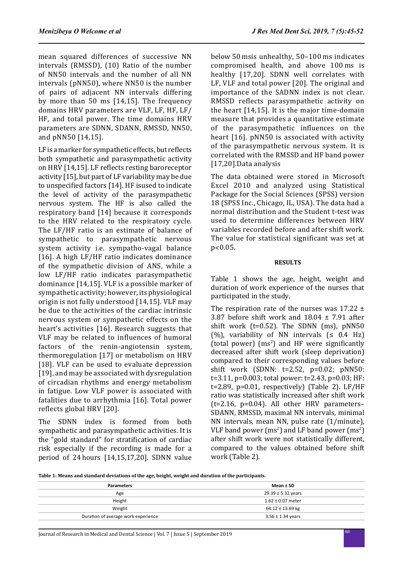mean squared differences of successive NN intervals (RMSSD), (10) Ratio of the number of NN50 intervals and the number of all NN intervals (pNN50), where NN50 is the number of pairs of adjacent NN intervals differing by more than 50 ms [14,15]. The frequency domains HRV parameters are VLF, LF, HF, LF/ HF, and total power. The time domains HRV parameters are SDNN, SDANN, RMSSD, NN50, and pNN50 [14,15].

LF is a marker for sympathetic effects, but reflects both sympathetic and parasympathetic activity on HRV [14,15]. LF reflects resting baroreceptor activity [15], but part of LF variability may be due to unspecified factors [14]. HF isused to indicate the level of activity of the parasympathetic nervous system. The HF is also called the respiratory band [14] because it corresponds to the HRV related to the respiratory cycle. The LF/HF ratio is an estimate of balance of sympathetic to parasympathetic nervous system activity i.e. sympatho-vagal balance [16]. A high LF/HF ratio indicates dominance of the sympathetic division of ANS, while a low LF/HF ratio indicates parasympathetic dominance [14,15]. VLF is a possible marker of sympathetic activity; however, its physiological origin is not fully understood [14,15]. VLF may be due to the activities of the cardiac intrinsic nervous system or sympathetic effects on the heart's activities [16]. Research suggests that VLF may be related to influences of humoral factors of the renin-angiotensin system, thermoregulation [17] or metabolism on HRV [18]. VLF can be used to evaluate depression [19], and may be associated with dysregulation of circadian rhythms and energy metabolism in fatigue. Low VLF power is associated with fatalities due to arrhythmia [16]. Total power reflects global HRV [20].

The SDNN index is formed from both sympathetic and parasympathetic activities. It is the "gold standard" for stratification of cardiac risk especially if the recording is made for a period of 24 hours [14,15,17,20]. SDNN value below 50 msis unhealthy, 50–100 ms indicates compromised health, and above 100 ms is healthy [17,20]. SDNN well correlates with LF, VLF and total power [20]. The original and importance of the SADNN index is not clear. RMSSD reflects parasympathetic activity on the heart [14,15]. It is the major time-domain measure that provides a quantitative estimate of the parasympathetic influences on the heart [16]. pNN50 is associated with activity of the parasympathetic nervous system. It is correlated with the RMSSD and HF band power [17,20].Data analysis

The data obtained were stored in Microsoft Excel 2010 and analyzed using Statistical Package for the Social Sciences (SPSS) version 18 (SPSS Inc., Chicago, IL, USA). The data had a normal distribution and the Student t-test was used to determine differences between HRV variables recorded before and after shift work. The value for statistical significant was set at p˂0.05.

#### **RESULTS**

Table 1 shows the age, height, weight and duration of work experience of the nurses that participated in the study.

The respiration rate of the nurses was  $17.22 \pm 1$ 3.87 before shift work and  $18.04 \pm 7.91$  after shift work ( $t=0.52$ ). The SDNN (ms),  $pNN50$ (%), variability of NN intervals  $($  ≤ 0.4 Hz)  $(total power)$   $(ms<sup>2</sup>)$  and HF were significantly decreased after shift work (sleep deprivation) compared to their corresponding values before shift work (SDNN: t=2.52, p=0.02; pNN50: t=3.11, p=0.003; total power: t=2.43, p=0.03; HF: t=2.89,  $p=0.01$ , respectively) (Table 2). LF/HF ratio was statistically increased after shift work  $(t=2.16, p=0.04)$ . All other HRV parameters-SDANN, RMSSD, maximal NN intervals, minimal NN intervals, mean NN, pulse rate (1/minute), VLF band power  $(ms^2)$  and LF band power  $(ms^2)$ after shift work were not statistically different, compared to the values obtained before shift work (Table 2).

**Table 1: Means and standard deviations of the age, height, weight and duration of the participants.**

| <b>Parameters</b>                   | Mean $±$ SD            |  |
|-------------------------------------|------------------------|--|
| Age                                 | $29.39 \pm 5.32$ years |  |
| Height                              | $1.62 \pm 0.07$ meter  |  |
| Weight                              | $64.12 \pm 13.69$ kg   |  |
| Duration of average work experience | $3.56 \pm 1.34$ years  |  |

<sup>48</sup> Journal of Research in Medical and Dental Science | Vol. 7 | Issue 5 | September 2019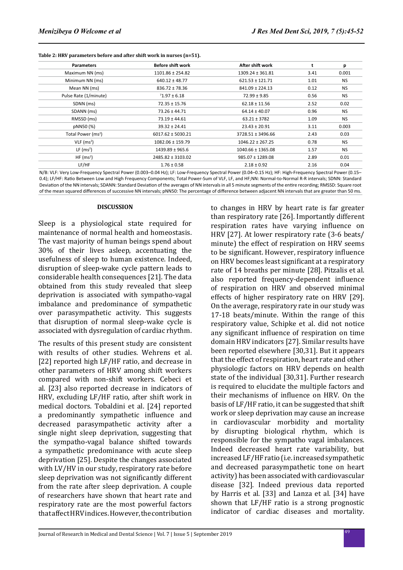| Table 2: HRV parameters before and after shift work in nurses (n=51). |  |  |  |
|-----------------------------------------------------------------------|--|--|--|
|-----------------------------------------------------------------------|--|--|--|

| <b>Parameters</b>              | Before shift work     | After shift work      |      | р         |
|--------------------------------|-----------------------|-----------------------|------|-----------|
| Maximum NN (ms)                | 1101.86 ± 254.82      | $1309.24 \pm 361.81$  | 3.41 | 0.001     |
| Minimum NN (ms)                | $640.12 \pm 48.77$    | $621.53 \pm 121.71$   | 1.01 | <b>NS</b> |
| Mean NN (ms)                   | $836.72 \pm 78.36$    | $841.09 \pm 224.13$   | 0.12 | <b>NS</b> |
| Pulse Rate (1/minute)          | $71.97 \pm 6.18$      | $72.99 \pm 9.85$      | 0.56 | <b>NS</b> |
| SDNN (ms)                      | $72.35 \pm 15.76$     | $62.18 \pm 11.56$     | 2.52 | 0.02      |
| SDANN (ms)                     | $73.26 \pm 44.71$     | $64.14 \pm 40.07$     | 0.96 | <b>NS</b> |
| RMSSD (ms)                     | $73.19 \pm 44.61$     | $63.21 \pm 3782$      | 1.09 | <b>NS</b> |
| pNN50 (%)                      | $39.32 \pm 24.41$     | $23.43 \pm 20.91$     | 3.11 | 0.003     |
| Total Power (ms <sup>2</sup> ) | $6017.62 \pm 5030.21$ | 3728.51 ± 3496.66     | 2.43 | 0.03      |
| $VLF$ (ms <sup>2</sup> )       | 1082.06 ± 159.79      | $1046.22 \pm 267.25$  | 0.78 | <b>NS</b> |
| LF $(ms^2)$                    | $1439.89 \pm 965.6$   | $1040.66 \pm 1365.08$ | 1.57 | <b>NS</b> |
| HF(ms <sup>2</sup> )           | 2485.82 ± 3103.02     | $985.07 \pm 1289.08$  | 2.89 | 0.01      |
| LF/HF                          | $1.76 \pm 0.58$       | $2.18 \pm 0.92$       | 2.16 | 0.04      |

N/B: VLF: Very Low-Frequency Spectral Power (0.003–0.04 Hz); LF: Low-Frequency Spectral Power (0.04–0.15 Hz); HF: High-Frequency Spectral Power (0.15– 0.4); LF/HF: Ratio Between Low and High Frequency Components; Total Power-Sum of VLF, LF, and HF;NN: Normal-to-Normal R-R intervals; SDNN: Standard Deviation of the NN intervals; SDANN: Standard Deviation of the averages of NN intervals in all 5 minute segments of the entire recording; RMSSD: Square root of the mean squared differences of successive NN intervals; pNN50: The percentage of difference between adjacent NN intervals that are greater than 50 ms.

#### **DISCUSSION**

Sleep is a physiological state required for maintenance of normal health and homeostasis. The vast majority of human beings spend about 30% of their lives asleep, accentuating the usefulness of sleep to human existence. Indeed, disruption of sleep-wake cycle pattern leads to considerable health consequences [21]. The data obtained from this study revealed that sleep deprivation is associated with sympatho-vagal imbalance and predominance of sympathetic over parasympathetic activity. This suggests that disruption of normal sleep-wake cycle is associated with dysregulation of cardiac rhythm.

The results of this present study are consistent with results of other studies. Wehrens et al. [22] reported high LF/HF ratio, and decrease in other parameters of HRV among shift workers compared with non-shift workers. Cebeci et al. [23] also reported decrease in indicators of HRV, excluding LF/HF ratio, after shift work in medical doctors. Tobaldini et al. [24] reported a predominantly sympathetic influence and decreased parasympathetic activity after a single night sleep deprivation, suggesting that the sympatho-vagal balance shifted towards a sympathetic predominance with acute sleep deprivation [25]. Despite the changes associated with LV/HV in our study, respiratory rate before sleep deprivation was not significantly different from the rate after sleep deprivation. A couple of researchers have shown that heart rate and respiratory rate are the most powerful factors that affect HRV indices. However, the contribution to changes in HRV by heart rate is far greater than respiratory rate [26]. Importantly different respiration rates have varying influence on HRV [27]. At lower respiratory rate (3-6 beats/ minute) the effect of respiration on HRV seems to be significant. However, respiratory influence on HRV becomes least significant at a respiratory rate of 14 breaths per minute [28]. Pitzalis et al. also reported frequency-dependent influence of respiration on HRV and observed minimal effects of higher respiratory rate on HRV [29]. On the average, respiratory rate in our study was 17-18 beats/minute. Within the range of this respiratory value, Schipke et al. did not notice any significant influence of respiration on time domain HRV indicators [27]. Similar results have been reported elsewhere [30,31]. But it appears that the effect of respiration, heart rate and other physiologic factors on HRV depends on health state of the individual [30,31]. Further research is required to elucidate the multiple factors and their mechanisms of influence on HRV. On the basis of LF/HF ratio, it can be suggested that shift work or sleep deprivation may cause an increase in cardiovascular morbidity and mortality by disrupting biological rhythm, which is responsible for the sympatho vagal imbalances. Indeed decreased heart rate variability, but increased LF/HF ratio (i.e. increased sympathetic and decreased parasympathetic tone on heart activity) has been associated with cardiovascular disease [32]. Indeed previous data reported by Harris et al. [33] and Lanza et al. [34] have shown that LF/HF ratio is a strong prognostic indicator of cardiac diseases and mortality.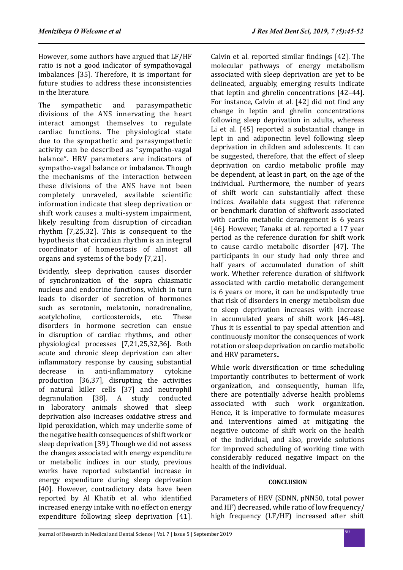However, some authors have argued that LF/HF ratio is not a good indicator of sympathovagal imbalances [35]. Therefore, it is important for future studies to address these inconsistencies in the literature.

The sympathetic and parasympathetic divisions of the ANS innervating the heart interact amongst themselves to regulate cardiac functions. The physiological state due to the sympathetic and parasympathetic activity can be described as "sympatho-vagal balance". HRV parameters are indicators of sympatho-vagal balance or imbalance. Though the mechanisms of the interaction between these divisions of the ANS have not been completely unraveled, available scientific information indicate that sleep deprivation or shift work causes a multi-system impairment, likely resulting from disruption of circadian rhythm [7,25,32]. This is consequent to the hypothesis that circadian rhythm is an integral coordinator of homeostasis of almost all organs and systems of the body [7,21].

Evidently, sleep deprivation causes disorder of synchronization of the supra chiasmatic nucleus and endocrine functions, which in turn leads to disorder of secretion of hormones such as serotonin, melatonin, noradrenaline,<br>acetylcholine. corticosteroids. etc. These corticosteroids. disorders in hormone secretion can ensue in disruption of cardiac rhythms, and other physiological processes [7,21,25,32,36]. Both acute and chronic sleep deprivation can alter inflammatory response by causing substantial<br>decrease in anti-inflammatory cytokine anti-inflammatory production [36,37], disrupting the activities of natural killer cells [37] and neutrophil<br>degranulation [38]. A study conducted [38].  $A$  study in laboratory animals showed that sleep deprivation also increases oxidative stress and lipid peroxidation, which may underlie some of the negative health consequences of shift work or sleep deprivation [39]. Though we did not assess the changes associated with energy expenditure or metabolic indices in our study, previous works have reported substantial increase in energy expenditure during sleep deprivation [40]. However, contradictory data have been reported by Al Khatib et al. who identified increased energy intake with no effect on energy expenditure following sleep deprivation [41]. Calvin et al. reported similar findings [42]. The molecular pathways of energy metabolism associated with sleep deprivation are yet to be delineated, arguably, emerging results indicate that leptin and ghrelin concentrations [42–44]. For instance, Calvin et al. [42] did not find any change in leptin and ghrelin concentrations following sleep deprivation in adults, whereas Li et al. [45] reported a substantial change in lept in and adiponectin level following sleep deprivation in children and adolescents. It can be suggested, therefore, that the effect of sleep deprivation on cardio metabolic profile may be dependent, at least in part, on the age of the individual. Furthermore, the number of years of shift work can substantially affect these indices. Available data suggest that reference or benchmark duration of shiftwork associated with cardio metabolic derangement is 6 years [46]. However, Tanaka et al. reported a 17 year period as the reference duration for shift work to cause cardio metabolic disorder [47]. The participants in our study had only three and half years of accumulated duration of shift work. Whether reference duration of shiftwork associated with cardio metabolic derangement is 6 years or more, it can be undisputedly true that risk of disorders in energy metabolism due to sleep deprivation increases with increase in accumulated years of shift work [46–48]. Thus it is essential to pay special attention and continuously monitor the consequences of work rotation or sleep deprivation on cardio metabolic and HRV parameters..

While work diversification or time scheduling importantly contributes to betterment of work organization, and consequently, human life, there are potentially adverse health problems associated with such work organization. Hence, it is imperative to formulate measures and interventions aimed at mitigating the negative outcome of shift work on the health of the individual, and also, provide solutions for improved scheduling of working time with considerably reduced negative impact on the health of the individual.

## **CONCLUSION**

Parameters of HRV (SDNN, pNN50, total power and HF) decreased, while ratio of low frequency/ high frequency (LF/HF) increased after shift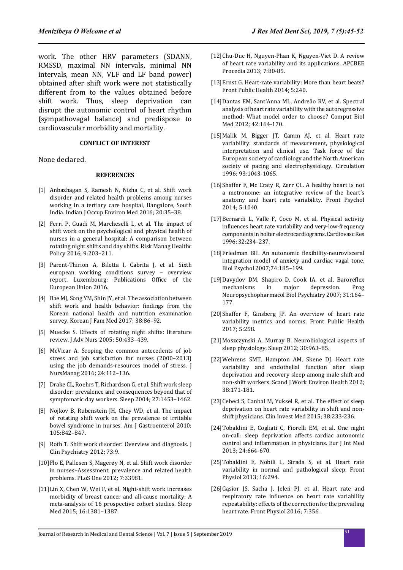work. The other HRV parameters (SDANN, RMSSD, maximal NN intervals, minimal NN intervals, mean NN, VLF and LF band power) obtained after shift work were not statistically different from to the values obtained before shift work. Thus, sleep deprivation can disrupt the autonomic control of heart rhythm (sympathovagal balance) and predispose to cardiovascular morbidity and mortality.

#### **CONFLICT OF INTEREST**

None declared.

#### **REFERENCES**

- [1] Anbazhagan S, Ramesh N, Nisha C, et al. Shift work disorder and related health problems among nurses working in a tertiary care hospital, Bangalore, South India. Indian J Occup Environ Med 2016; 20:35–38.
- [2] Ferri P, Guadi M, Marcheselli L, et al. The impact of shift work on the psychological and physical health of nurses in a general hospital: A comparison between rotating night shifts and day shifts. Risk Manag Healthc Policy 2016; 9:203–211.
- [3] Parent-Thirion A, Biletta I, Cabrita J, et al. Sixth european working conditions survey – overview report. Luxembourg: Publications Office of the European Union 2016.
- [4] Bae MJ, Song YM, Shin JY, et al. The association between shift work and health behavior: findings from the Korean national health and nutrition examination survey. Korean J Fam Med 2017; 38:86–92.
- [5] Muecke S. Effects of rotating night shifts: literature review. J Adv Nurs 2005; 50:433–439.
- [6] McVicar A. Scoping the common antecedents of job stress and job satisfaction for nurses (2000–2013) using the job demands-resources model of stress. J NursManag 2016; 24:112–136.
- [7] Drake CL, Roehrs T, Richardson G, et al. Shift work sleep disorder: prevalence and consequences beyond that of symptomatic day workers. Sleep 2004; 27:1453–1462.
- [8] Nojkov B, Rubenstein JH, Chey WD, et al. The impact of rotating shift work on the prevalence of irritable bowel syndrome in nurses. Am J Gastroenterol 2010; 105:842–847.
- [9] Roth T. Shift work disorder: Overview and diagnosis. J Clin Psychiatry 2012; 73:9.
- [10]Flo E, Pallesen S, Magerøy N, et al. Shift work disorder in nurses–Assessment, prevalence and related health problems. PLoS One 2012; 7:33981.
- [11] Lin X, Chen W, Wei F, et al. Night-shift work increases morbidity of breast cancer and all-cause mortality: A meta-analysis of 16 prospective cohort studies. Sleep Med 2015; 16:1381–1387.
- [12]Chu-Duc H, Nguyen-Phan K, Nguyen-Viet D. A review of heart rate variability and its applications. APCBEE Procedia 2013; 7:80-85.
- [13]Ernst G. Heart-rate variability: More than heart beats? Front Public Health 2014; 5:240.
- [14]Dantas EM, Sant'Anna ML, Andreão RV, et al. Spectral analysis of heart rate variability with the autoregressive method: What model order to choose? Comput Biol Med 2012; 42:164-170.
- [15]Malik M, Bigger JT, Camm AJ, et al. Heart rate variability: standards of measurement, physiological interpretation and clinical use. Task force of the European society of cardiology and the North American society of pacing and electrophysiology. Circulation 1996; 93:1043-1065.
- [16]Shaffer F, Mc Craty R, Zerr CL. A healthy heart is not a metronome: an integrative review of the heart's anatomy and heart rate variability. Front Psychol 2014; 5:1040.
- [17]Bernardi L, Valle F, Coco M, et al. Physical activity influences heart rate variability and very-low-frequency components in holter electrocardiograms. Cardiovasc Res 1996; 32:234–237.
- [18]Friedman BH. An autonomic flexibility-neurovisceral integration model of anxiety and cardiac vagal tone. Biol Psychol 2007;74:185–199.
- [19]Davydov DM, Shapiro D, Cook IA, et al. Baroreflex mechanisms in major depression. Prog Neuropsychopharmacol Biol Psychiatry 2007; 31:164– 177.
- [20]Shaffer F, Ginsberg JP. An overview of heart rate variability metrics and norms. Front Public Health 2017; 5:258.
- [21]Moszczynski A, Murray B. Neurobiological aspects of sleep physiology. Sleep 2012; 30:963–85.
- [22]Wehrens SMT, Hampton AM, Skene DJ. Heart rate variability and endothelial function after sleep deprivation and recovery sleep among male shift and non-shift workers. Scand J Work Environ Health 2012; 38:171-181.
- [23]Cebeci S, Canbal M, Yuksel R, et al. The effect of sleep deprivation on heart rate variability in shift and nonshift physicians. Clin Invest Med 2015; 38:233-236.
- [24]Tobaldini E, Cogliati C, Fiorelli EM, et al. One night on-call: sleep deprivation affects cardiac autonomic control and inflammation in physicians. Eur J Int Med 2013; 24:664-670.
- [25]Tobaldini E, Nobili L, Strada S, et al. Heart rate variability in normal and pathological sleep. Front Physiol 2013; 16:294.
- [26]Gąsior JS, Sacha J, Jeleń PJ, et al. Heart rate and respiratory rate influence on heart rate variability repeatability: effects of the correction for the prevailing heart rate. Front Physiol 2016; 7:356.